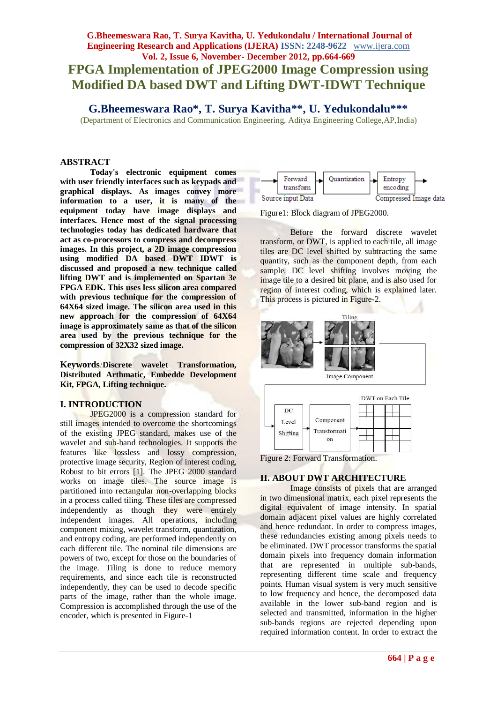## **G.Bheemeswara Rao, T. Surya Kavitha, U. Yedukondalu / International Journal of Engineering Research and Applications (IJERA) ISSN: 2248-9622** www.ijera.com **Vol. 2, Issue 6, November- December 2012, pp.664-669 FPGA Implementation of JPEG2000 Image Compression using Modified DA based DWT and Lifting DWT-IDWT Technique**

**G.Bheemeswara Rao\*, T. Surya Kavitha\*\*, U. Yedukondalu\*\*\***

(Department of Electronics and Communication Engineering, Aditya Engineering College,AP,India)

#### **ABSTRACT**

**Today's electronic equipment comes with user friendly interfaces such as keypads and graphical displays. As images convey more information to a user, it is many of the equipment today have image displays and interfaces. Hence most of the signal processing technologies today has dedicated hardware that act as co-processors to compress and decompress images. In this project, a 2D image compression using modified DA based DWT IDWT is discussed and proposed a new technique called lifting DWT and is implemented on Spartan 3e FPGA EDK. This uses less silicon area compared with previous technique for the compression of 64X64 sized image. The silicon area used in this new approach for the compression of 64X64 image is approximately same as that of the silicon area used by the previous technique for the compression of 32X32 sized image.** 

**Keywords***:***Discrete wavelet Transformation, Distributed Arthmatic, Embedde Development Kit, FPGA, Lifting technique.**

#### **I. INTRODUCTION**

JPEG2000 is a compression standard for still images intended to overcome the shortcomings of the existing JPEG standard, makes use of the wavelet and sub-band technologies. It supports the features like lossless and lossy compression, protective image security, Region of interest coding, Robust to bit errors [1]. The JPEG 2000 standard works on image tiles. The source image is partitioned into rectangular non-overlapping blocks in a process called tiling. These tiles are compressed independently as though they were entirely independent images. All operations, including component mixing, wavelet transform, quantization, and entropy coding, are performed independently on each different tile. The nominal tile dimensions are powers of two, except for those on the boundaries of the image. Tiling is done to reduce memory requirements, and since each tile is reconstructed independently, they can be used to decode specific parts of the image, rather than the whole image. Compression is accomplished through the use of the encoder, which is presented in Figure-1



Figure1: Block diagram of JPEG2000.

Before the forward discrete wavelet transform, or DWT, is applied to each tile, all image tiles are DC level shifted by subtracting the same quantity, such as the component depth, from each sample. DC level shifting involves moving the image tile to a desired bit plane, and is also used for region of interest coding, which is explained later. This process is pictured in Figure-2.





Figure 2: Forward Transformation.

#### **II. ABOUT DWT ARCHITECTURE**

Image consists of pixels that are arranged in two dimensional matrix, each pixel represents the digital equivalent of image intensity. In spatial domain adjacent pixel values are highly correlated and hence redundant. In order to compress images, these redundancies existing among pixels needs to be eliminated. DWT processor transforms the spatial domain pixels into frequency domain information that are represented in multiple sub-bands, representing different time scale and frequency points. Human visual system is very much sensitive to low frequency and hence, the decomposed data available in the lower sub-band region and is selected and transmitted, information in the higher sub-bands regions are rejected depending upon required information content. In order to extract the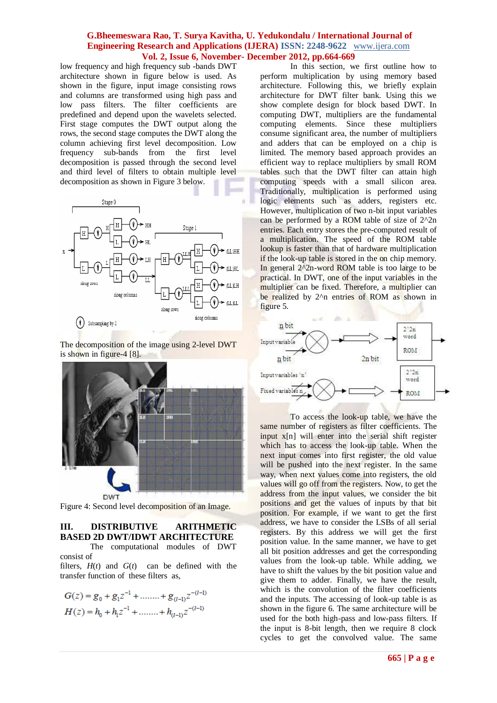low frequency and high frequency sub -bands DWT architecture shown in figure below is used. As shown in the figure, input image consisting rows and columns are transformed using high pass and low pass filters. The filter coefficients are predefined and depend upon the wavelets selected. First stage computes the DWT output along the rows, the second stage computes the DWT along the column achieving first level decomposition. Low frequency sub-bands from the first level decomposition is passed through the second level and third level of filters to obtain multiple level decomposition as shown in Figure 3 below.



The decomposition of the image using 2-level DWT is shown in figure-4 [8].



Figure 4: Second level decomposition of an Image.

#### **III. DISTRIBUTIVE ARITHMETIC BASED 2D DWT/IDWT ARCHITECTURE** The computational modules of DWT

consist of

filters,  $H(t)$  and  $G(t)$  can be defined with the transfer function of these filters as,

$$
G(z) = g_0 + g_1 z^{-1} + \dots + g_{(l-1)} z^{-(l-1)}
$$
  

$$
H(z) = h_0 + h_1 z^{-1} + \dots + h_{(l-1)} z^{-(l-1)}
$$

In this section, we first outline how to perform multiplication by using memory based architecture. Following this, we briefly explain architecture for DWT filter bank. Using this we show complete design for block based DWT. In computing DWT, multipliers are the fundamental computing elements. Since these multipliers consume significant area, the number of multipliers and adders that can be employed on a chip is limited. The memory based approach provides an efficient way to replace multipliers by small ROM tables such that the DWT filter can attain high computing speeds with a small silicon area. Traditionally, multiplication is performed using logic elements such as adders, registers etc. However, multiplication of two n-bit input variables can be performed by a ROM table of size of 2^2n entries. Each entry stores the pre-computed result of a multiplication. The speed of the ROM table lookup is faster than that of hardware multiplication if the look-up table is stored in the on chip memory. In general  $2^2$ n-word ROM table is too large to be practical. In DWT, one of the input variables in the multiplier can be fixed. Therefore, a multiplier can be realized by 2<sup>^</sup>n entries of ROM as shown in figure 5.



To access the look-up table, we have the same number of registers as filter coefficients. The input x[n] will enter into the serial shift register which has to access the look-up table. When the next input comes into first register, the old value will be pushed into the next register. In the same way, when next values come into registers, the old values will go off from the registers. Now, to get the address from the input values, we consider the bit positions and get the values of inputs by that bit position. For example, if we want to get the first address, we have to consider the LSBs of all serial registers. By this address we will get the first position value. In the same manner, we have to get all bit position addresses and get the corresponding values from the look-up table. While adding, we have to shift the values by the bit position value and give them to adder. Finally, we have the result, which is the convolution of the filter coefficients and the inputs. The accessing of look-up table is as shown in the figure 6. The same architecture will be used for the both high-pass and low-pass filters. If the input is 8-bit length, then we require 8 clock cycles to get the convolved value. The same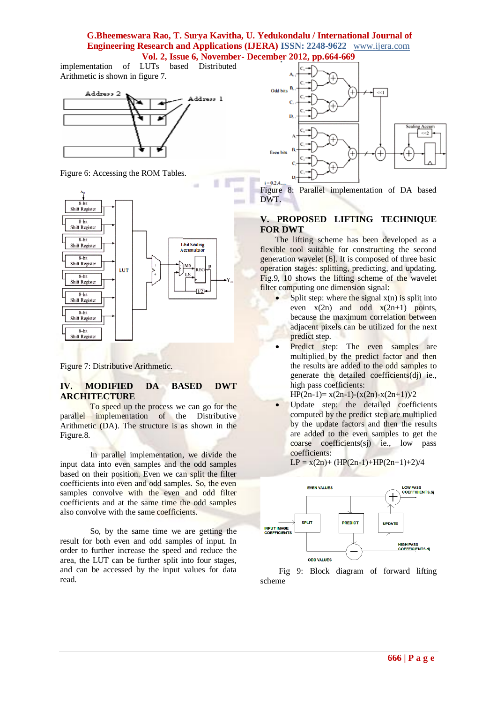# **G.Bheemeswara Rao, T. Surya Kavitha, U. Yedukondalu / International Journal of Engineering Research and Applications (IJERA) ISSN: 2248-9622** www.ijera.com

**Vol. 2, Issue 6, November- December 2012, pp.664-669**

implementation of LUTs based Distributed Arithmetic is shown in figure 7.



Figure 6: Accessing the ROM Tables.



Figure 7: Distributive Arithmetic.

### **IV. MODIFIED DA BASED DWT ARCHITECTURE**

To speed up the process we can go for the parallel implementation of the Distributive Arithmetic (DA). The structure is as shown in the Figure.8.

In parallel implementation, we divide the input data into even samples and the odd samples based on their position. Even we can split the filter coefficients into even and odd samples. So, the even samples convolve with the even and odd filter coefficients and at the same time the odd samples also convolve with the same coefficients.

So, by the same time we are getting the result for both even and odd samples of input. In order to further increase the speed and reduce the area, the LUT can be further split into four stages, and can be accessed by the input values for data read.



Figure 8: Parallel implementation of DA based DWT.

#### **V. PROPOSED LIFTING TECHNIQUE FOR DWT**

The lifting scheme has been developed as a flexible tool suitable for constructing the second generation wavelet [6]. It is composed of three basic operation stages: splitting, predicting, and updating. Fig.9, 10 shows the lifting scheme of the wavelet filter computing one dimension signal:

- Split step: where the signal  $x(n)$  is split into even  $x(2n)$  and odd  $x(2n+1)$  points, because the maximum correlation between adjacent pixels can be utilized for the next predict step.
- Predict step: The even samples are multiplied by the predict factor and then the results are added to the odd samples to generate the detailed coefficients(dj) ie., high pass coefficients:

HP(2n-1)=  $x(2n-1)-(x(2n)-x(2n+1))/2$ 

• Update step: the detailed coefficients computed by the predict step are multiplied by the update factors and then the results are added to the even samples to get the coarse coefficients(sj) ie., low pass coefficients:

 $LP = x(2n) + (HP(2n-1) + HP(2n+1)+2)/4$ 

**EVEN VALUES LOW PASS<br>COEFFICIENTS, Sj**  $\overline{+}$ **SPLIT PREDICT UPDATE INPUT IMAGE**<br>COEFFICIENTS **HIGH PASS<br>COEFFICIENTS,dj ODD VALUES** 

 Fig 9: Block diagram of forward lifting scheme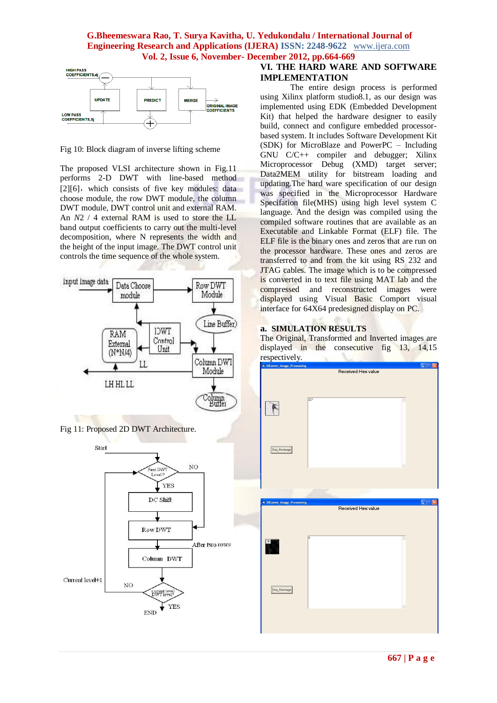

Fig 10: Block diagram of inverse lifting scheme

The proposed VLSI architecture shown in Fig.11 performs 2-D DWT with line-based method  $[2][6]$ , which consists of five key modules: data choose module, the row DWT module, the column DWT module, DWT control unit and external RAM. An *N*2 / 4 external RAM is used to store the LL band output coefficients to carry out the multi-level decomposition, where N represents the width and the height of the input image. The DWT control unit controls the time sequence of the whole system.







### **VI. THE HARD WARE AND SOFTWARE IMPLEMENTATION**

The entire design process is performed using Xilinx platform studio8.1, as our design was implemented using EDK (Embedded Development Kit) that helped the hardware designer to easily build, connect and configure embedded processorbased system. It includes Software Development Kit (SDK) for MicroBlaze and PowerPC – Including GNU C/C++ compiler and debugger; Xilinx Microprocessor Debug (XMD) target server; Data2MEM utility for bitstream loading and updating.The hard ware specification of our design was specified in the Microprocessor Hardware Specifation file(MHS) using high level system C language. And the design was compiled using the compiled software routines that are available as an Executable and Linkable Format (ELF) file. The ELF file is the binary ones and zeros that are run on the processor hardware. These ones and zeros are transferred to and from the kit using RS 232 and JTAG cables. The image which is to be compressed is converted in to text file using MAT lab and the compressed and reconstructed images were displayed using Visual Basic Comport visual interface for 64X64 predesigned display on PC.

#### **a. SIMULATION RESULTS**

The Original, Transformed and Inverted images are displayed in the consecutive fig 13, 14,15 respectively.

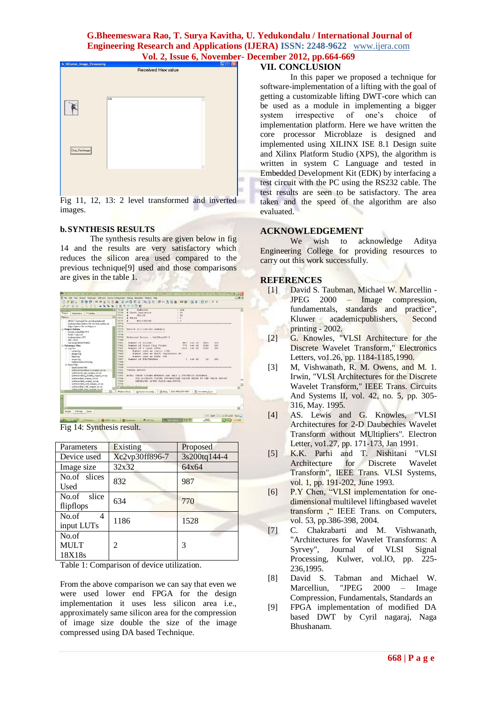

Fig 11, 12, 13: 2 level transformed and inverted images.

#### **b.SYNTHESIS RESULTS**

The synthesis results are given below in fig 14 and the results are very satisfactory which reduces the silicon area used compared to the previous technique[9] used and those comparisons are gives in the table 1.



Fig 14: Synthesis result.

| Parameters                     | Existing       | Proposed     |
|--------------------------------|----------------|--------------|
| Device used                    | Xc2vp30ff896-7 | 3s200tq144-4 |
| Image size                     | 32x32          | 64x64        |
| No.of slices<br>Used           | 832            | 987          |
| No.of slice<br>flipflops       | 634            | 770          |
| No.of<br>4<br>input LUTs       | 1186           | 1528         |
| No.of<br><b>MULT</b><br>18X18s | 2              | 3            |

Table 1: Comparison of device utilization.

From the above comparison we can say that even we were used lower end FPGA for the design implementation it uses less silicon area i.e., approximately same silicon area for the compression of image size double the size of the image compressed using DA based Technique.

## **VII. CONCLUSION**

In this paper we proposed a technique for software-implementation of a lifting with the goal of getting a customizable lifting DWT-core which can be used as a module in implementing a bigger system irrespective of one's choice of implementation platform. Here we have written the

core processor Microblaze is designed and implemented using XILINX ISE 8.1 Design suite and Xilinx Platform Studio (XPS), the algorithm is written in system C Language and tested in Embedded Development Kit (EDK) by interfacing a test circuit with the PC using the RS232 cable. The test results are seen to be satisfactory. The area taken and the speed of the algorithm are also evaluated.

#### **ACKNOWLEDGEMENT**

We wish to acknowledge Aditya Engineering College for providing resources to carry out this work successfully.

#### **REFERENCES**

- [1] David S. Taubman, Michael W. Marcellin JPEG 2000 – Image compression, fundamentals, standards and practice", Kluwer academicpublishers, Second printing - 2002.
- [2] G. Knowles, "VLSI Architecture for the Discrete Wavelet Transform," Electronics Letters, vo1.26, pp. 1184-1185,1990.
- [3] M, Vishwanath, R. M. Owens, and M. 1. Irwin, "VLSI Architectures for the Discrete Wavelet Transform," IEEE Trans. Circuits And Systems II, vol. 42, no. 5, pp. 305- 316, May. 1995.
- [4] AS. Lewis and G. Knowles, "VLSI Architectures for 2-D Daubechies Wavelet Transform without MUltipliers". Electron Letter, vo1.27, pp. 171-173, Jan 1991.
- [5] K.K. Parhi and T. Nishitani "VLSI Architecture for Discrete Wavelet Transform", IEEE Trans. VLSI Systems, vol. 1, pp. 191-202, June 1993.
- [6] P.Y Chen, "VLSI implementation for onedimensional multilevel liftingbased wavelet transform ," IEEE Trans. on Computers, vol. 53, pp.386-398, 2004.
- [7] C. Chakrabarti and M. Vishwanath, "Architectures for Wavelet Transforms: A Syrvey", Journal of VLSI Signal Processing, Kulwer, vol.lO, pp. 225- 236,1995.
- [8] David S. Tabman and Michael W. Marcelliun, "JPEG 2000 – Image Compression, Fundamentals, Standards an
- [9] FPGA implementation of modified DA based DWT by Cyril nagaraj, Naga Bhushanam.